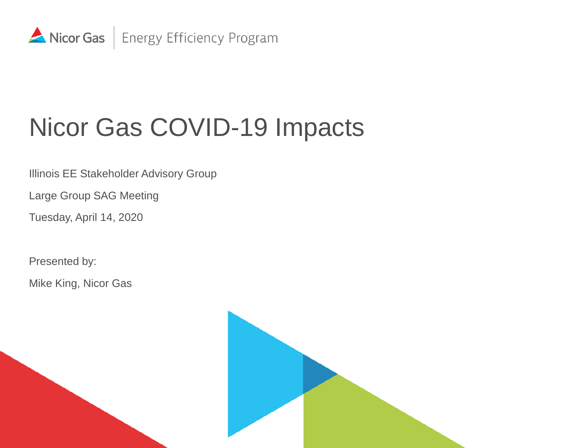

# Nicor Gas COVID-19 Impacts

Illinois EE Stakeholder Advisory Group

Large Group SAG Meeting

Tuesday, April 14, 2020

Presented by:

Mike King, Nicor Gas

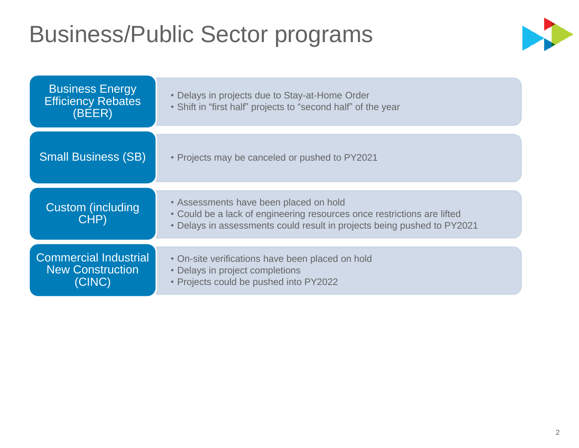### Business/Public Sector programs



| <b>Business Energy</b><br><b>Efficiency Rebates</b><br>(BEER)     | • Delays in projects due to Stay-at-Home Order<br>• Shift in "first half" projects to "second half" of the year                                                                              |
|-------------------------------------------------------------------|----------------------------------------------------------------------------------------------------------------------------------------------------------------------------------------------|
| <b>Small Business (SB)</b>                                        | • Projects may be canceled or pushed to PY2021                                                                                                                                               |
| Custom (including<br>CHP)                                         | • Assessments have been placed on hold<br>• Could be a lack of engineering resources once restrictions are lifted<br>• Delays in assessments could result in projects being pushed to PY2021 |
| <b>Commercial Industrial</b><br><b>New Construction</b><br>(CINC) | • On-site verifications have been placed on hold<br>• Delays in project completions<br>• Projects could be pushed into PY2022                                                                |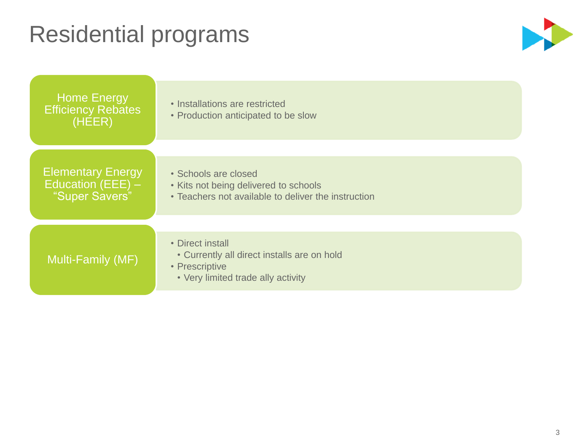### Residential programs



| <b>Home Energy</b><br><b>Efficiency Rebates</b><br>(HEER)         | • Installations are restricted<br>• Production anticipated to be slow                                                   |
|-------------------------------------------------------------------|-------------------------------------------------------------------------------------------------------------------------|
| <b>Elementary Energy</b><br>Education (EEE) $-$<br>"Super Savers" | • Schools are closed<br>• Kits not being delivered to schools<br>• Teachers not available to deliver the instruction    |
| Multi-Family (MF)                                                 | • Direct install<br>• Currently all direct installs are on hold<br>• Prescriptive<br>• Very limited trade ally activity |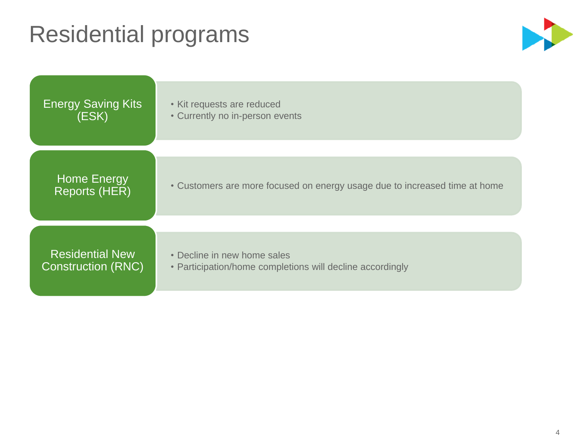### Residential programs



| <b>Energy Saving Kits</b>                  | • Kit requests are reduced                                                 |
|--------------------------------------------|----------------------------------------------------------------------------|
| (ESK)                                      | • Currently no in-person events                                            |
| <b>Home Energy</b><br><b>Reports (HER)</b> | • Customers are more focused on energy usage due to increased time at home |
| <b>Residential New</b>                     | • Decline in new home sales                                                |
| <b>Construction (RNC)</b>                  | • Participation/home completions will decline accordingly                  |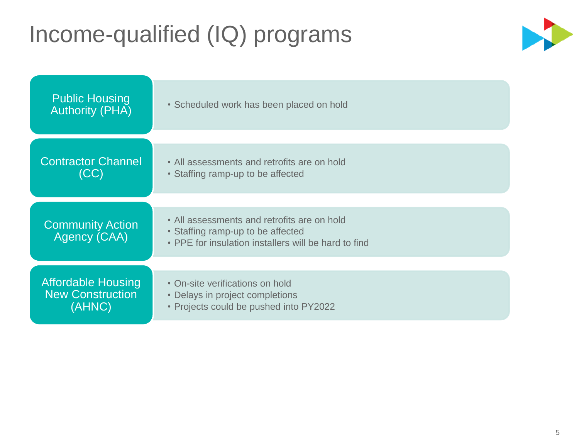### Income-qualified (IQ) programs



| <b>Public Housing</b><br><b>Authority (PHA)</b> | • Scheduled work has been placed on hold                                                                                                 |  |  |
|-------------------------------------------------|------------------------------------------------------------------------------------------------------------------------------------------|--|--|
| <b>Contractor Channel</b>                       | • All assessments and retrofits are on hold                                                                                              |  |  |
| (CC)                                            | • Staffing ramp-up to be affected                                                                                                        |  |  |
| <b>Community Action</b><br>Agency (CAA)         | • All assessments and retrofits are on hold<br>• Staffing ramp-up to be affected<br>• PPE for insulation installers will be hard to find |  |  |
| <b>Affordable Housing</b>                       | • On-site verifications on hold                                                                                                          |  |  |
| <b>New Construction</b>                         | • Delays in project completions                                                                                                          |  |  |
| (AHNC)                                          | • Projects could be pushed into PY2022                                                                                                   |  |  |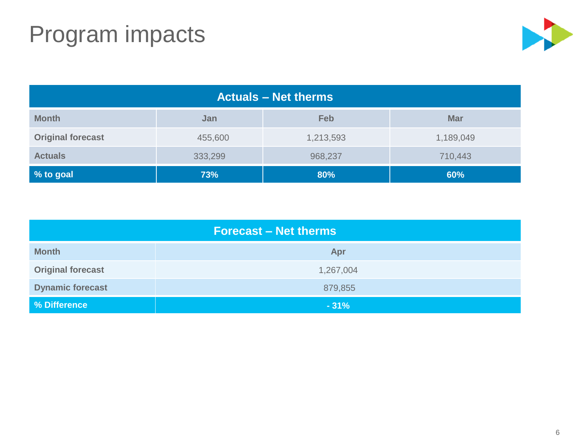## Program impacts



| <b>Actuals – Net therms</b> |         |           |            |  |  |  |
|-----------------------------|---------|-----------|------------|--|--|--|
| <b>Month</b>                | Jan     | Feb       | <b>Mar</b> |  |  |  |
| <b>Original forecast</b>    | 455,600 | 1,213,593 | 1,189,049  |  |  |  |
| <b>Actuals</b>              | 333,299 | 968,237   | 710,443    |  |  |  |
| % to goal                   | 73%     | 80%       | 60%        |  |  |  |

| <b>Forecast – Net therms</b> |           |  |  |  |  |
|------------------------------|-----------|--|--|--|--|
| <b>Month</b>                 | Apr       |  |  |  |  |
| <b>Original forecast</b>     | 1,267,004 |  |  |  |  |
| <b>Dynamic forecast</b>      | 879,855   |  |  |  |  |
| % Difference                 | $-31%$    |  |  |  |  |